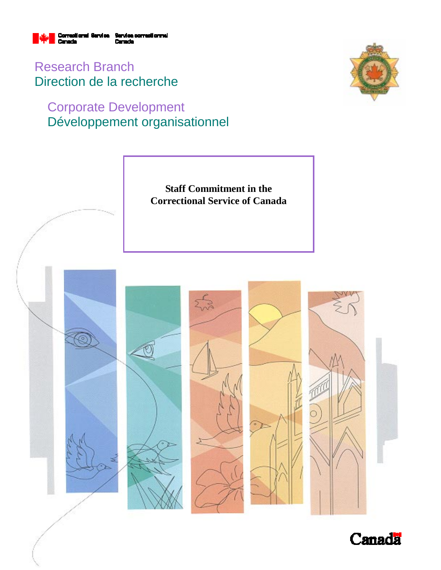

Research Branch Direction de la recherche

# Corporate Development Développement organisationnel





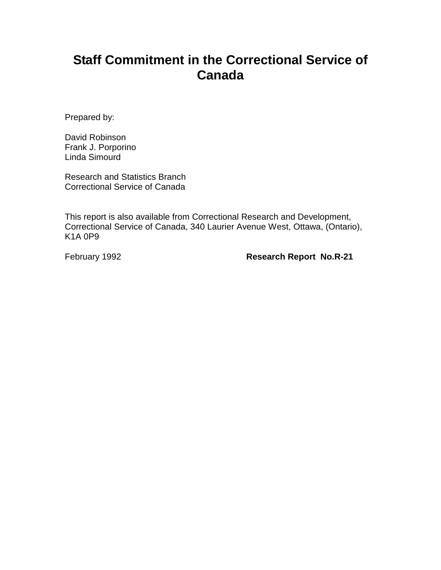# **Staff Commitment in the Correctional Service of Canada**

Prepared by:

David Robinson Frank J. Porporino Linda Simourd

Research and Statistics Branch Correctional Service of Canada

This report is also available from Correctional Research and Development, Correctional Service of Canada, 340 Laurier Avenue West, Ottawa, (Ontario), K1A 0P9

February 1992 **Research Report No.R-21**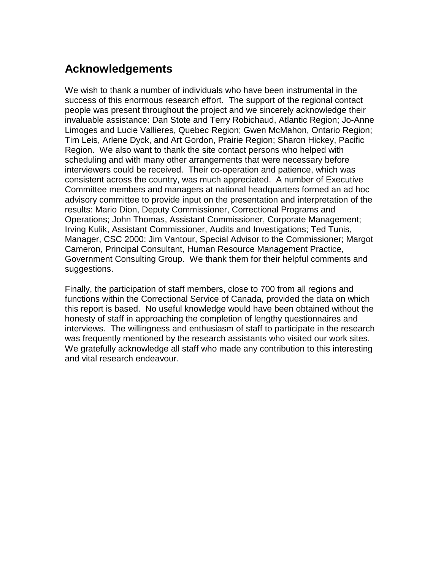## **Acknowledgements**

We wish to thank a number of individuals who have been instrumental in the success of this enormous research effort. The support of the regional contact people was present throughout the project and we sincerely acknowledge their invaluable assistance: Dan Stote and Terry Robichaud, Atlantic Region; Jo-Anne Limoges and Lucie Vallieres, Quebec Region; Gwen McMahon, Ontario Region; Tim Leis, Arlene Dyck, and Art Gordon, Prairie Region; Sharon Hickey, Pacific Region. We also want to thank the site contact persons who helped with scheduling and with many other arrangements that were necessary before interviewers could be received. Their co-operation and patience, which was consistent across the country, was much appreciated. A number of Executive Committee members and managers at national headquarters formed an ad hoc advisory committee to provide input on the presentation and interpretation of the results: Mario Dion, Deputy Commissioner, Correctional Programs and Operations; John Thomas, Assistant Commissioner, Corporate Management; Irving Kulik, Assistant Commissioner, Audits and Investigations; Ted Tunis, Manager, CSC 2000; Jim Vantour, Special Advisor to the Commissioner; Margot Cameron, Principal Consultant, Human Resource Management Practice, Government Consulting Group. We thank them for their helpful comments and suggestions.

Finally, the participation of staff members, close to 700 from all regions and functions within the Correctional Service of Canada, provided the data on which this report is based. No useful knowledge would have been obtained without the honesty of staff in approaching the completion of lengthy questionnaires and interviews. The willingness and enthusiasm of staff to participate in the research was frequently mentioned by the research assistants who visited our work sites. We gratefully acknowledge all staff who made any contribution to this interesting and vital research endeavour.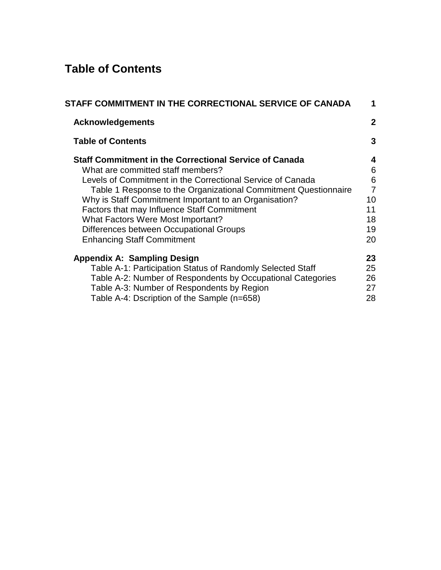## **Table of Contents**

| STAFF COMMITMENT IN THE CORRECTIONAL SERVICE OF CANADA          | 1              |
|-----------------------------------------------------------------|----------------|
| <b>Acknowledgements</b>                                         | 2              |
| <b>Table of Contents</b>                                        | 3              |
| <b>Staff Commitment in the Correctional Service of Canada</b>   | 4              |
| What are committed staff members?                               | 6              |
| Levels of Commitment in the Correctional Service of Canada      | 6              |
| Table 1 Response to the Organizational Commitment Questionnaire | $\overline{7}$ |
| Why is Staff Commitment Important to an Organisation?           | 10             |
| <b>Factors that may Influence Staff Commitment</b>              | 11             |
| <b>What Factors Were Most Important?</b>                        | 18             |
| Differences between Occupational Groups                         | 19             |
| <b>Enhancing Staff Commitment</b>                               | 20             |
| <b>Appendix A: Sampling Design</b>                              | 23             |
| Table A-1: Participation Status of Randomly Selected Staff      | 25             |
| Table A-2: Number of Respondents by Occupational Categories     | 26             |
| Table A-3: Number of Respondents by Region                      | 27             |
| Table A-4: Dscription of the Sample (n=658)                     | 28             |
|                                                                 |                |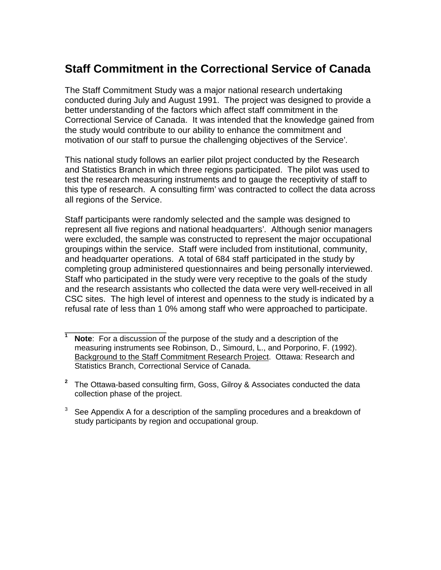## **Staff Commitment in the Correctional Service of Canada**

The Staff Commitment Study was a major national research undertaking conducted during July and August 1991. The project was designed to provide a better understanding of the factors which affect staff commitment in the Correctional Service of Canada. It was intended that the knowledge gained from the study would contribute to our ability to enhance the commitment and motivation of our staff to pursue the challenging objectives of the Service'.

This national study follows an earlier pilot project conducted by the Research and Statistics Branch in which three regions participated. The pilot was used to test the research measuring instruments and to gauge the receptivity of staff to this type of research. A consulting firm' was contracted to collect the data across all regions of the Service.

Staff participants were randomly selected and the sample was designed to represent all five regions and national headquarters'. Although senior managers were excluded, the sample was constructed to represent the major occupational groupings within the service. Staff were included from institutional, community, and headquarter operations. A total of 684 staff participated in the study by completing group administered questionnaires and being personally interviewed. Staff who participated in the study were very receptive to the goals of the study and the research assistants who collected the data were very well-received in all CSC sites. The high level of interest and openness to the study is indicated by a refusal rate of less than 1 0% among staff who were approached to participate.

\_\_\_\_\_\_\_\_\_\_\_\_\_\_\_\_\_\_\_\_\_

**Note:** For a discussion of the purpose of the study and a description of the measuring instruments see Robinson, D., Simourd, L., and Porporino, F. (1992). Background to the Staff Commitment Research Project. Ottawa: Research and Statistics Branch, Correctional Service of Canada.

**<sup>2</sup>**The Ottawa-based consulting firm, Goss, Gilroy & Associates conducted the data collection phase of the project.

 $3$  See Appendix A for a description of the sampling procedures and a breakdown of study participants by region and occupational group.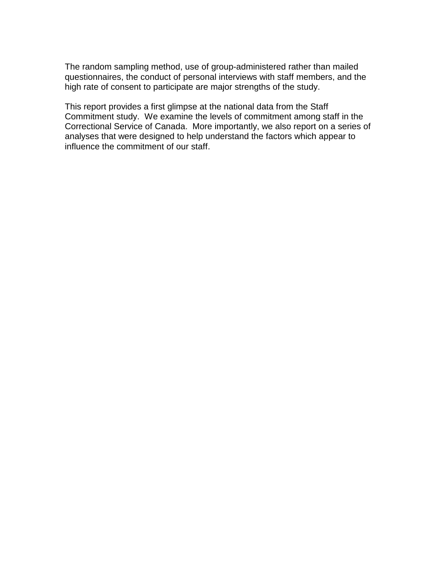The random sampling method, use of group-administered rather than mailed questionnaires, the conduct of personal interviews with staff members, and the high rate of consent to participate are major strengths of the study.

This report provides a first glimpse at the national data from the Staff Commitment study. We examine the levels of commitment among staff in the Correctional Service of Canada. More importantly, we also report on a series of analyses that were designed to help understand the factors which appear to influence the commitment of our staff.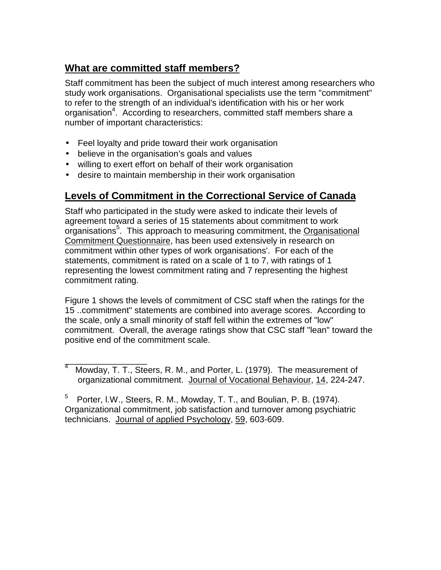### **What are committed staff members?**

Staff commitment has been the subject of much interest among researchers who study work organisations. Organisational specialists use the term "commitment" to refer to the strength of an individual's identification with his or her work organisation<sup>4</sup>. According to researchers, committed staff members share a number of important characteristics:

- Feel loyalty and pride toward their work organisation
- believe in the organisation's goals and values
- willing to exert effort on behalf of their work organisation
- desire to maintain membership in their work organisation

### **Levels of Commitment in the Correctional Service of Canada**

Staff who participated in the study were asked to indicate their levels of agreement toward a series of 15 statements about commitment to work organisations<sup>5</sup>. This approach to measuring commitment, the Organisational Commitment Questionnaire, has been used extensively in research on commitment within other types of work organisations'. For each of the statements, commitment is rated on a scale of 1 to 7, with ratings of 1 representing the lowest commitment rating and 7 representing the highest commitment rating.

Figure 1 shows the levels of commitment of CSC staff when the ratings for the 15 ..commitment" statements are combined into average scores. According to the scale, only a small minority of staff fell within the extremes of "low" commitment. Overall, the average ratings show that CSC staff "lean" toward the positive end of the commitment scale.

\_\_\_\_\_\_\_\_\_\_\_\_\_\_\_\_\_ 4 Mowday, T. T., Steers, R. M., and Porter, L. (1979). The measurement of organizational commitment. Journal of Vocational Behaviour, 14, 224-247.

 $5$  Porter, I.W., Steers, R. M., Mowday, T. T., and Boulian, P. B. (1974). Organizational commitment, job satisfaction and turnover among psychiatric technicians. Journal of applied Psychology, 59, 603-609.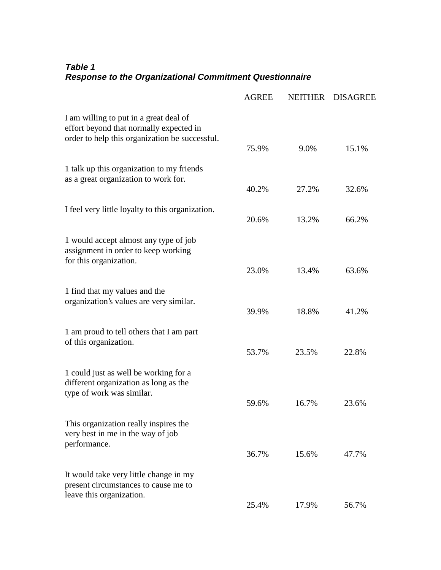### **Table 1 Response to the Organizational Commitment Questionnaire**

|                                                                                                                                     | <b>AGREE</b> | <b>NEITHER</b> | <b>DISAGREE</b> |
|-------------------------------------------------------------------------------------------------------------------------------------|--------------|----------------|-----------------|
| I am willing to put in a great deal of<br>effort beyond that normally expected in<br>order to help this organization be successful. | 75.9%        | 9.0%           | 15.1%           |
|                                                                                                                                     |              |                |                 |
| 1 talk up this organization to my friends<br>as a great organization to work for.                                                   | 40.2%        | 27.2%          | 32.6%           |
| I feel very little loyalty to this organization.                                                                                    | 20.6%        | 13.2%          | 66.2%           |
| 1 would accept almost any type of job<br>assignment in order to keep working<br>for this organization.                              |              |                |                 |
|                                                                                                                                     | 23.0%        | 13.4%          | 63.6%           |
| 1 find that my values and the<br>organization's values are very similar.                                                            | 39.9%        | 18.8%          | 41.2%           |
| 1 am proud to tell others that I am part<br>of this organization.                                                                   |              |                |                 |
|                                                                                                                                     | 53.7%        | 23.5%          | 22.8%           |
| 1 could just as well be working for a<br>different organization as long as the<br>type of work was similar.                         |              |                |                 |
|                                                                                                                                     | 59.6%        | 16.7%          | 23.6%           |
| This organization really inspires the<br>very best in me in the way of job<br>performance.                                          |              |                |                 |
|                                                                                                                                     | 36.7%        | 15.6%          | 47.7%           |
| It would take very little change in my<br>present circumstances to cause me to<br>leave this organization.                          |              |                |                 |
|                                                                                                                                     | 25.4%        | 17.9%          | 56.7%           |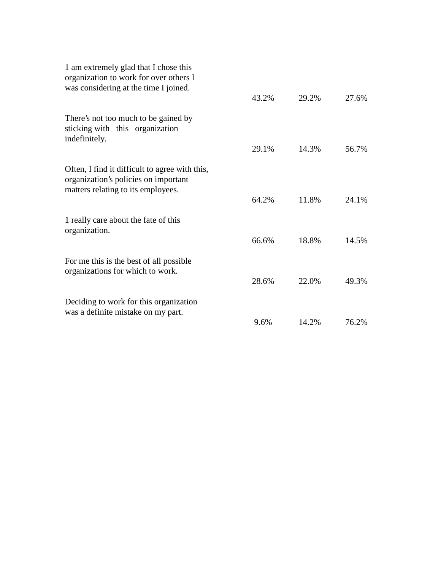| 1 am extremely glad that I chose this<br>organization to work for over others I<br>was considering at the time I joined.     |       |       |       |
|------------------------------------------------------------------------------------------------------------------------------|-------|-------|-------|
|                                                                                                                              | 43.2% | 29.2% | 27.6% |
| There's not too much to be gained by<br>sticking with this organization<br>indefinitely.                                     |       |       |       |
|                                                                                                                              | 29.1% | 14.3% | 56.7% |
| Often, I find it difficult to agree with this,<br>organization's policies on important<br>matters relating to its employees. |       |       |       |
|                                                                                                                              | 64.2% | 11.8% | 24.1% |
| 1 really care about the fate of this<br>organization.                                                                        |       |       |       |
|                                                                                                                              | 66.6% | 18.8% | 14.5% |
| For me this is the best of all possible<br>organizations for which to work.                                                  |       |       |       |
|                                                                                                                              | 28.6% | 22.0% | 49.3% |
| Deciding to work for this organization                                                                                       |       |       |       |
| was a definite mistake on my part.                                                                                           | 9.6%  | 14.2% | 76.2% |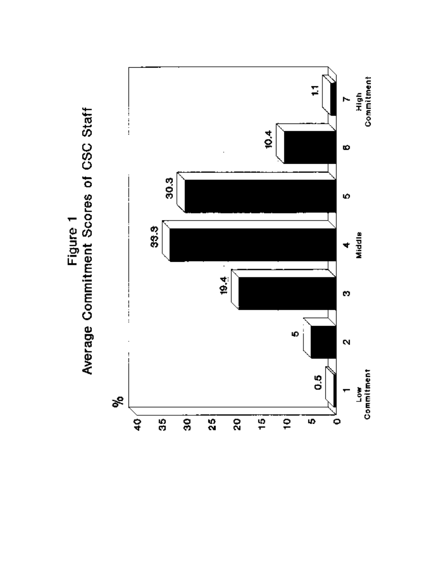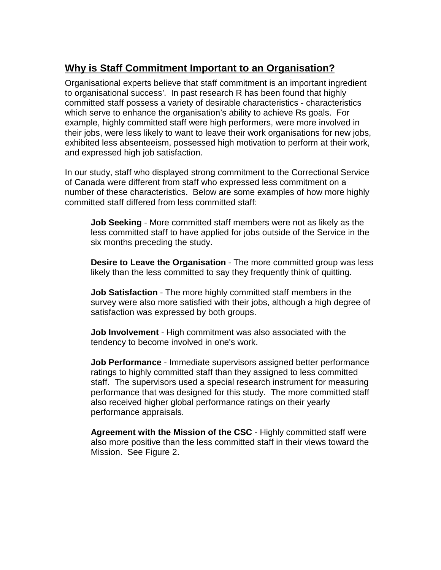### **Why is Staff Commitment Important to an Organisation?**

Organisational experts believe that staff commitment is an important ingredient to organisational success'. In past research R has been found that highly committed staff possess a variety of desirable characteristics - characteristics which serve to enhance the organisation's ability to achieve Rs goals. For example, highly committed staff were high performers, were more involved in their jobs, were less likely to want to leave their work organisations for new jobs, exhibited less absenteeism, possessed high motivation to perform at their work, and expressed high job satisfaction.

In our study, staff who displayed strong commitment to the Correctional Service of Canada were different from staff who expressed less commitment on a number of these characteristics. Below are some examples of how more highly committed staff differed from less committed staff:

**Job Seeking** - More committed staff members were not as likely as the less committed staff to have applied for jobs outside of the Service in the six months preceding the study.

**Desire to Leave the Organisation** - The more committed group was less likely than the less committed to say they frequently think of quitting.

**Job Satisfaction** - The more highly committed staff members in the survey were also more satisfied with their jobs, although a high degree of satisfaction was expressed by both groups.

**Job Involvement** - High commitment was also associated with the tendency to become involved in one's work.

**Job Performance** - Immediate supervisors assigned better performance ratings to highly committed staff than they assigned to less committed staff. The supervisors used a special research instrument for measuring performance that was designed for this study. The more committed staff also received higher global performance ratings on their yearly performance appraisals.

**Agreement with the Mission of the CSC** - Highly committed staff were also more positive than the less committed staff in their views toward the Mission. See Figure 2.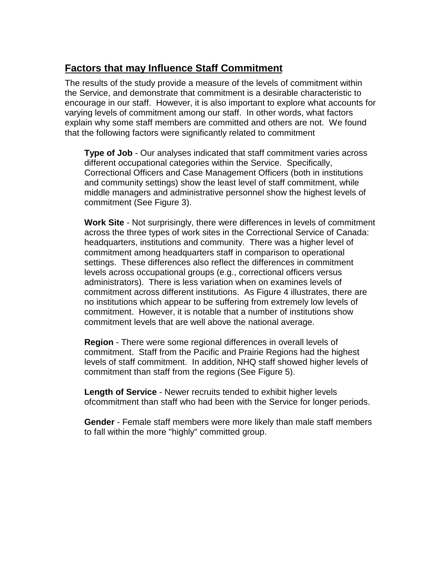### **Factors that may Influence Staff Commitment**

The results of the study provide a measure of the levels of commitment within the Service, and demonstrate that commitment is a desirable characteristic to encourage in our staff. However, it is also important to explore what accounts for varying levels of commitment among our staff. In other words, what factors explain why some staff members are committed and others are not. We found that the following factors were significantly related to commitment

**Type of Job** - Our analyses indicated that staff commitment varies across different occupational categories within the Service. Specifically, Correctional Officers and Case Management Officers (both in institutions and community settings) show the least level of staff commitment, while middle managers and administrative personnel show the highest levels of commitment (See Figure 3).

**Work Site** - Not surprisingly, there were differences in levels of commitment across the three types of work sites in the Correctional Service of Canada: headquarters, institutions and community. There was a higher level of commitment among headquarters staff in comparison to operational settings. These differences also reflect the differences in commitment levels across occupational groups (e.g., correctional officers versus administrators). There is less variation when on examines levels of commitment across different institutions. As Figure 4 illustrates, there are no institutions which appear to be suffering from extremely low levels of commitment. However, it is notable that a number of institutions show commitment levels that are well above the national average.

**Region** - There were some regional differences in overall levels of commitment. Staff from the Pacific and Prairie Regions had the highest levels of staff commitment. In addition, NHQ staff showed higher levels of commitment than staff from the regions (See Figure 5).

**Length of Service** - Newer recruits tended to exhibit higher levels ofcommitment than staff who had been with the Service for longer periods.

**Gender** - Female staff members were more likely than male staff members to fall within the more "highly" committed group.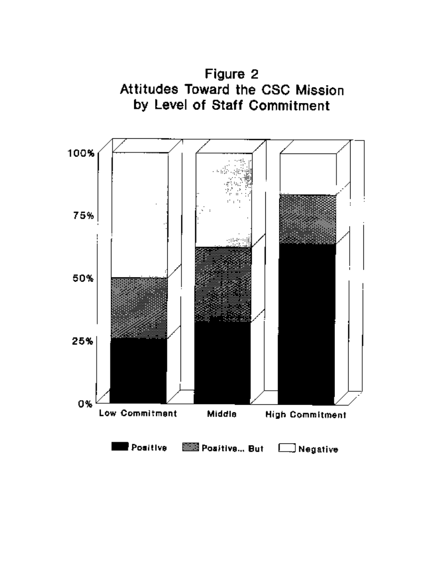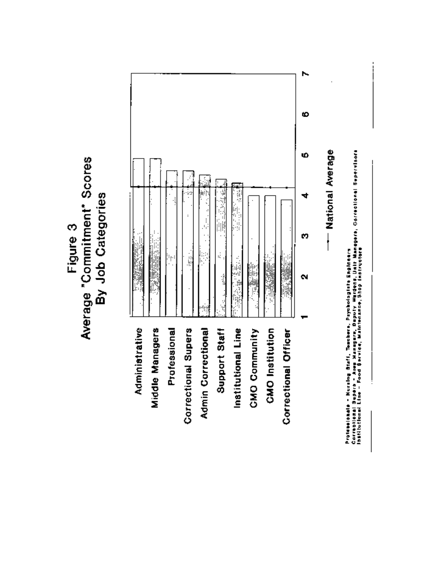# Average "Commitment" Scores By Job Categories Figure 3

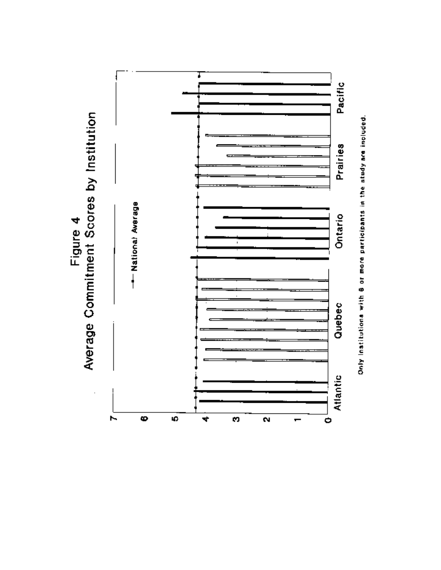



Only institutions with 8 or more participants in the study are included.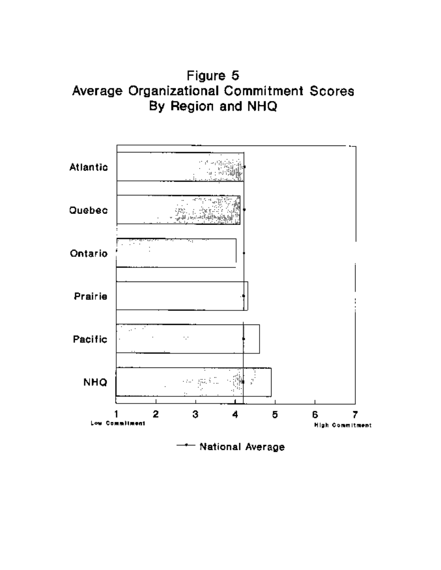Figure 5 Average Organizational Commitment Scores By Region and NHQ

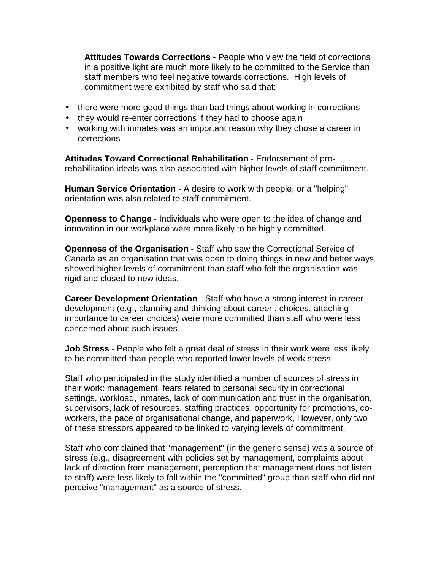**Attitudes Towards Corrections** - People who view the field of corrections in a positive light are much more likely to be committed to the Service than staff members who feel negative towards corrections. High levels of commitment were exhibited by staff who said that:

- there were more good things than bad things about working in corrections
- they would re-enter corrections if they had to choose again
- working with inmates was an important reason why they chose a career in corrections

**Attitudes Toward Correctional Rehabilitation** - Endorsement of prorehabilitation ideals was also associated with higher levels of staff commitment.

**Human Service Orientation** - A desire to work with people, or a "helping" orientation was also related to staff commitment.

**Openness to Change** - Individuals who were open to the idea of change and innovation in our workplace were more likely to be highly committed.

**Openness of the Organisation** - Staff who saw the Correctional Service of Canada as an organisation that was open to doing things in new and better ways showed higher levels of commitment than staff who felt the organisation was rigid and closed to new ideas.

**Career Development Orientation** - Staff who have a strong interest in career development (e.g., planning and thinking about career . choices, attaching importance to career choices) were more committed than staff who were less concerned about such issues.

**Job Stress** - People who felt a great deal of stress in their work were less likely to be committed than people who reported lower levels of work stress.

Staff who participated in the study identified a number of sources of stress in their work: management, fears related to personal security in correctional settings, workload, inmates, lack of communication and trust in the organisation, supervisors, lack of resources, staffing practices, opportunity for promotions, coworkers, the pace of organisational change, and paperwork, However, only two of these stressors appeared to be linked to varying levels of commitment.

Staff who complained that "management" (in the generic sense) was a source of stress (e.g., disagreement with policies set by management, complaints about lack of direction from management, perception that management does not listen to staff) were less likely to fall within the "committed" group than staff who did not perceive "management" as a source of stress.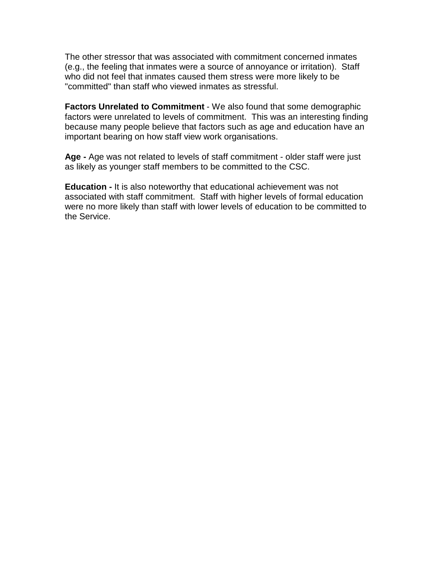The other stressor that was associated with commitment concerned inmates (e.g., the feeling that inmates were a source of annoyance or irritation). Staff who did not feel that inmates caused them stress were more likely to be "committed" than staff who viewed inmates as stressful.

**Factors Unrelated to Commitment** - We also found that some demographic factors were unrelated to levels of commitment. This was an interesting finding because many people believe that factors such as age and education have an important bearing on how staff view work organisations.

**Age -** Age was not related to levels of staff commitment - older staff were just as likely as younger staff members to be committed to the CSC.

**Education -** It is also noteworthy that educational achievement was not associated with staff commitment. Staff with higher levels of formal education were no more likely than staff with lower levels of education to be committed to the Service.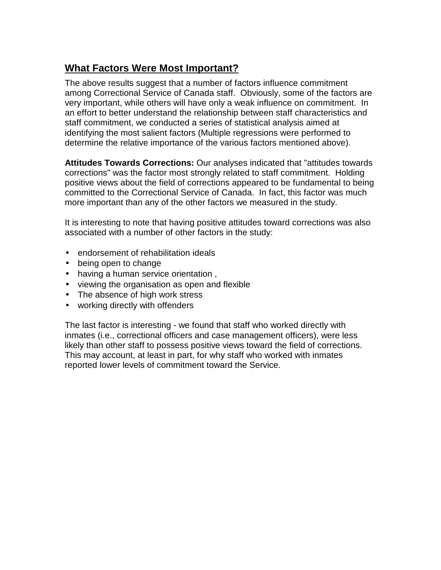### **What Factors Were Most Important?**

The above results suggest that a number of factors influence commitment among Correctional Service of Canada staff. Obviously, some of the factors are very important, while others will have only a weak influence on commitment. In an effort to better understand the relationship between staff characteristics and staff commitment, we conducted a series of statistical analysis aimed at identifying the most salient factors (Multiple regressions were performed to determine the relative importance of the various factors mentioned above).

**Attitudes Towards Corrections:** Our analyses indicated that "attitudes towards corrections" was the factor most strongly related to staff commitment. Holding positive views about the field of corrections appeared to be fundamental to being committed to the Correctional Service of Canada. In fact, this factor was much more important than any of the other factors we measured in the study.

It is interesting to note that having positive attitudes toward corrections was also associated with a number of other factors in the study:

- endorsement of rehabilitation ideals
- being open to change
- having a human service orientation ,
- viewing the organisation as open and flexible
- The absence of high work stress
- working directly with offenders

The last factor is interesting - we found that staff who worked directly with inmates (i.e., correctional officers and case management officers), were less likely than other staff to possess positive views toward the field of corrections. This may account, at least in part, for why staff who worked with inmates reported lower levels of commitment toward the Service.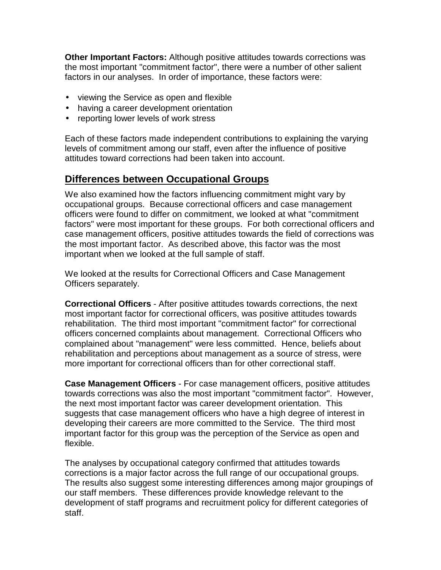**Other Important Factors:** Although positive attitudes towards corrections was the most important "commitment factor", there were a number of other salient factors in our analyses. In order of importance, these factors were:

- viewing the Service as open and flexible
- having a career development orientation
- reporting lower levels of work stress

Each of these factors made independent contributions to explaining the varying levels of commitment among our staff, even after the influence of positive attitudes toward corrections had been taken into account.

### **Differences between Occupational Groups**

We also examined how the factors influencing commitment might vary by occupational groups. Because correctional officers and case management officers were found to differ on commitment, we looked at what "commitment factors" were most important for these groups. For both correctional officers and case management officers, positive attitudes towards the field of corrections was the most important factor. As described above, this factor was the most important when we looked at the full sample of staff.

We looked at the results for Correctional Officers and Case Management Officers separately.

**Correctional Officers** - After positive attitudes towards corrections, the next most important factor for correctional officers, was positive attitudes towards rehabilitation. The third most important "commitment factor" for correctional officers concerned complaints about management. Correctional Officers who complained about "management" were less committed. Hence, beliefs about rehabilitation and perceptions about management as a source of stress, were more important for correctional officers than for other correctional staff.

**Case Management Officers** - For case management officers, positive attitudes towards corrections was also the most important "commitment factor". However, the next most important factor was career development orientation. This suggests that case management officers who have a high degree of interest in developing their careers are more committed to the Service. The third most important factor for this group was the perception of the Service as open and flexible.

The analyses by occupational category confirmed that attitudes towards corrections is a major factor across the full range of our occupational groups. The results also suggest some interesting differences among major groupings of our staff members. These differences provide knowledge relevant to the development of staff programs and recruitment policy for different categories of staff.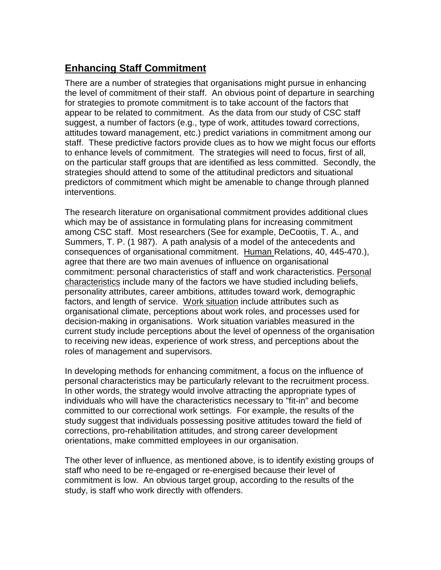## **Enhancing Staff Commitment**

There are a number of strategies that organisations might pursue in enhancing the level of commitment of their staff. An obvious point of departure in searching for strategies to promote commitment is to take account of the factors that appear to be related to commitment. As the data from our study of CSC staff suggest, a number of factors (e.g., type of work, attitudes toward corrections, attitudes toward management, etc.) predict variations in commitment among our staff. These predictive factors provide clues as to how we might focus our efforts to enhance levels of commitment. The strategies will need to focus, first of all, on the particular staff groups that are identified as less committed. Secondly, the strategies should attend to some of the attitudinal predictors and situational predictors of commitment which might be amenable to change through planned interventions.

The research Iiterature on organisational commitment provides additional clues which may be of assistance in formulating plans for increasing commitment among CSC staff. Most researchers (See for example, DeCootiis, T. A., and Summers, T. P. (1 987). A path analysis of a model of the antecedents and consequences of organisational commitment. Human Relations, 40, 445-470.), agree that there are two main avenues of influence on organisational commitment: personal characteristics of staff and work characteristics. Personal characteristics include many of the factors we have studied including beliefs, personality attributes, career ambitions, attitudes toward work, demographic factors, and length of service. Work situation include attributes such as organisational climate, perceptions about work roles, and processes used for decision-making in organisations. Work situation variables measured in the current study include perceptions about the level of openness of the organisation to receiving new ideas, experience of work stress, and perceptions about the roles of management and supervisors.

In developing methods for enhancing commitment, a focus on the influence of personal characteristics may be particularly relevant to the recruitment process. In other words, the strategy would involve attracting the appropriate types of individuals who will have the characteristics necessary to "fit-in" and become committed to our correctional work settings. For example, the results of the study suggest that individuals possessing positive attitudes toward the field of corrections, pro-rehabilitation attitudes, and strong career development orientations, make committed employees in our organisation.

The other lever of influence, as mentioned above, is to identify existing groups of staff who need to be re-engaged or re-energised because their level of commitment is low. An obvious target group, according to the results of the study, is staff who work directly with offenders.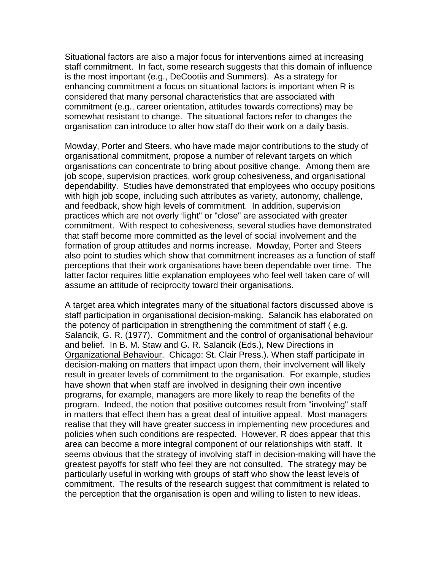Situational factors are also a major focus for interventions aimed at increasing staff commitment. In fact, some research suggests that this domain of influence is the most important (e.g., DeCootiis and Summers). As a strategy for enhancing commitment a focus on situational factors is important when R is considered that many personal characteristics that are associated with commitment (e.g., career orientation, attitudes towards corrections) may be somewhat resistant to change. The situational factors refer to changes the organisation can introduce to alter how staff do their work on a daily basis.

Mowday, Porter and Steers, who have made major contributions to the study of organisational commitment, propose a number of relevant targets on which organisations can concentrate to bring about positive change. Among them are job scope, supervision practices, work group cohesiveness, and organisational dependability. Studies have demonstrated that employees who occupy positions with high job scope, including such attributes as variety, autonomy, challenge, and feedback, show high levels of commitment. In addition, supervision practices which are not overly 'light" or "close" are associated with greater commitment. With respect to cohesiveness, several studies have demonstrated that staff become more committed as the level of social involvement and the formation of group attitudes and norms increase. Mowday, Porter and Steers also point to studies which show that commitment increases as a function of staff perceptions that their work organisations have been dependable over time. The latter factor requires little explanation employees who feel well taken care of will assume an attitude of reciprocity toward their organisations.

A target area which integrates many of the situational factors discussed above is staff participation in organisational decision-making. Salancik has elaborated on the potency of participation in strengthening the commitment of staff ( e.g. Salancik, G. R. (1977). Commitment and the control of organisational behaviour and belief. In B. M. Staw and G. R. Salancik (Eds.), New Directions in Organizational Behaviour. Chicago: St. Clair Press.). When staff participate in decision-making on matters that impact upon them, their involvement will likely result in greater levels of commitment to the organisation. For example, studies have shown that when staff are involved in designing their own incentive programs, for example, managers are more likely to reap the benefits of the program. Indeed, the notion that positive outcomes result from "involving" staff in matters that effect them has a great deal of intuitive appeal. Most managers realise that they will have greater success in implementing new procedures and policies when such conditions are respected. However, R does appear that this area can become a more integral component of our relationships with staff. It seems obvious that the strategy of involving staff in decision-making will have the greatest payoffs for staff who feel they are not consulted. The strategy may be particularly useful in working with groups of staff who show the least levels of commitment. The results of the research suggest that commitment is related to the perception that the organisation is open and willing to listen to new ideas.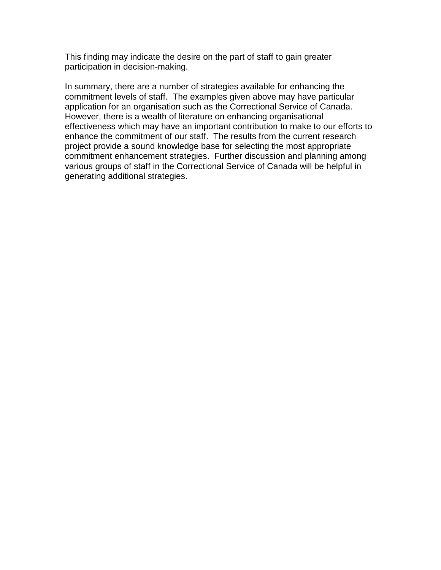This finding may indicate the desire on the part of staff to gain greater participation in decision-making.

In summary, there are a number of strategies available for enhancing the commitment levels of staff. The examples given above may have particular application for an organisation such as the Correctional Service of Canada. However, there is a wealth of literature on enhancing organisational effectiveness which may have an important contribution to make to our efforts to enhance the commitment of our staff. The results from the current research project provide a sound knowledge base for selecting the most appropriate commitment enhancement strategies. Further discussion and planning among various groups of staff in the Correctional Service of Canada will be helpful in generating additional strategies.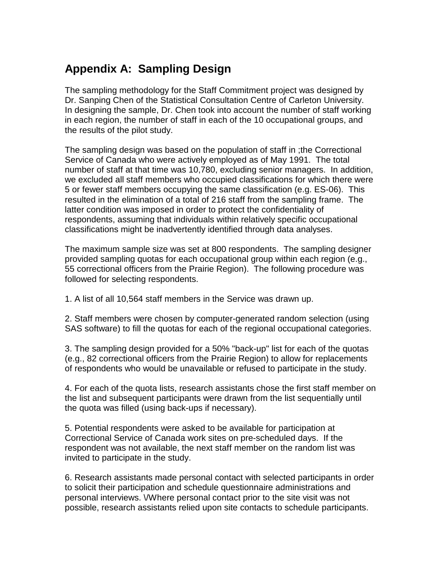## **Appendix A: Sampling Design**

The sampling methodology for the Staff Commitment project was designed by Dr. Sanping Chen of the Statistical Consultation Centre of Carleton University. In designing the sample, Dr. Chen took into account the number of staff working in each region, the number of staff in each of the 10 occupational groups, and the results of the pilot study.

The sampling design was based on the population of staff in ;the Correctional Service of Canada who were actively employed as of May 1991. The total number of staff at that time was 10,780, excluding senior managers. In addition, we excluded all staff members who occupied classifications for which there were 5 or fewer staff members occupying the same classification (e.g. ES-06). This resulted in the elimination of a total of 216 staff from the sampling frame. The latter condition was imposed in order to protect the confidentiality of respondents, assuming that individuals within relatively specific occupational classifications might be inadvertently identified through data analyses.

The maximum sample size was set at 800 respondents. The sampling designer provided sampling quotas for each occupational group within each region (e.g., 55 correctional officers from the Prairie Region). The following procedure was followed for selecting respondents.

1. A list of all 10,564 staff members in the Service was drawn up.

2. Staff members were chosen by computer-generated random selection (using SAS software) to fill the quotas for each of the regional occupational categories.

3. The sampling design provided for a 50% "back-up" list for each of the quotas (e.g., 82 correctional officers from the Prairie Region) to allow for replacements of respondents who would be unavailable or refused to participate in the study.

4. For each of the quota lists, research assistants chose the first staff member on the list and subsequent participants were drawn from the list sequentially until the quota was filled (using back-ups if necessary).

5. Potential respondents were asked to be available for participation at Correctional Service of Canada work sites on pre-scheduled days. If the respondent was not available, the next staff member on the random list was invited to participate in the study.

6. Research assistants made personal contact with selected participants in order to solicit their participation and schedule questionnaire administrations and personal interviews. \/Where personal contact prior to the site visit was not possible, research assistants relied upon site contacts to schedule participants.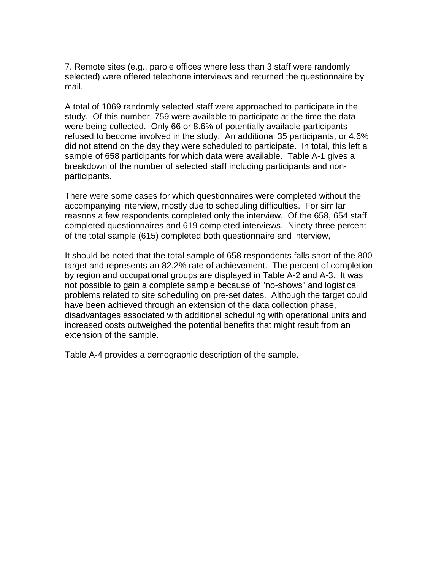7. Remote sites (e.g., parole offices where less than 3 staff were randomly selected) were offered telephone interviews and returned the questionnaire by mail.

A total of 1069 randomly selected staff were approached to participate in the study. Of this number, 759 were available to participate at the time the data were being collected. Only 66 or 8.6% of potentially available participants refused to become involved in the study. An additional 35 participants, or 4.6% did not attend on the day they were scheduled to participate. In total, this left a sample of 658 participants for which data were available. Table A-1 gives a breakdown of the number of selected staff including participants and nonparticipants.

There were some cases for which questionnaires were completed without the accompanying interview, mostly due to scheduling difficulties. For similar reasons a few respondents completed only the interview. Of the 658, 654 staff completed questionnaires and 619 completed interviews. Ninety-three percent of the total sample (615) completed both questionnaire and interview,

It should be noted that the total sample of 658 respondents falls short of the 800 target and represents an 82.2% rate of achievement. The percent of completion by region and occupational groups are displayed in Table A-2 and A-3. It was not possible to gain a complete sample because of "no-shows" and logistical problems related to site scheduling on pre-set dates. Although the target could have been achieved through an extension of the data collection phase, disadvantages associated with additional scheduling with operational units and increased costs outweighed the potential benefits that might result from an extension of the sample.

Table A-4 provides a demographic description of the sample.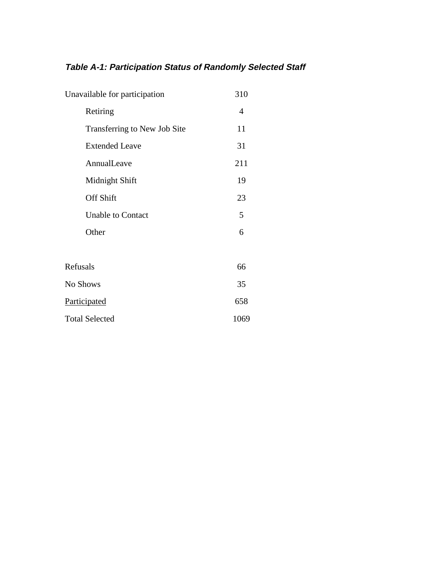## **Table A-1: Participation Status of Randomly Selected Staff**

| Unavailable for participation | 310  |
|-------------------------------|------|
| Retiring                      | 4    |
| Transferring to New Job Site  | 11   |
| <b>Extended Leave</b>         | 31   |
| AnnualLeave                   | 211  |
| Midnight Shift                | 19   |
| <b>Off Shift</b>              | 23   |
| <b>Unable to Contact</b>      | 5    |
| Other                         | 6    |
|                               |      |
| Refusals                      | 66   |
| No Shows                      | 35   |
| Participated                  | 658  |
| <b>Total Selected</b>         | 1069 |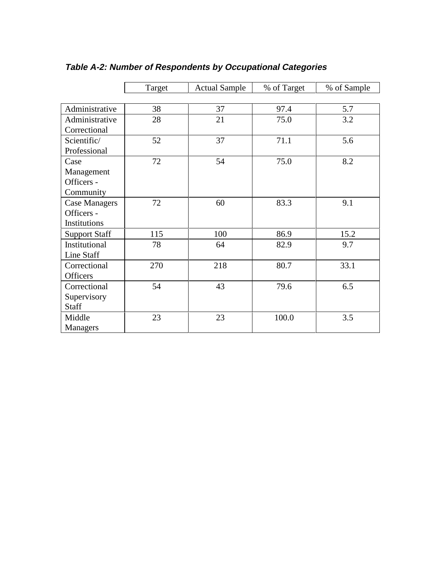|                      | Target | <b>Actual Sample</b> | % of Target | % of Sample |
|----------------------|--------|----------------------|-------------|-------------|
|                      |        |                      |             |             |
| Administrative       | 38     | 37                   | 97.4        | 5.7         |
| Administrative       | 28     | 21                   | 75.0        | 3.2         |
| Correctional         |        |                      |             |             |
| Scientific/          | 52     | 37                   | 71.1        | 5.6         |
| Professional         |        |                      |             |             |
| Case                 | 72     | 54                   | 75.0        | 8.2         |
| Management           |        |                      |             |             |
| Officers -           |        |                      |             |             |
| Community            |        |                      |             |             |
| <b>Case Managers</b> | 72     | 60                   | 83.3        | 9.1         |
| Officers -           |        |                      |             |             |
| Institutions         |        |                      |             |             |
| <b>Support Staff</b> | 115    | 100                  | 86.9        | 15.2        |
| Institutional        | 78     | 64                   | 82.9        | 9.7         |
| Line Staff           |        |                      |             |             |
| Correctional         | 270    | 218                  | 80.7        | 33.1        |
| <b>Officers</b>      |        |                      |             |             |
| Correctional         | 54     | 43                   | 79.6        | 6.5         |
| Supervisory          |        |                      |             |             |
| Staff                |        |                      |             |             |
| Middle               | 23     | 23                   | 100.0       | 3.5         |
| Managers             |        |                      |             |             |

## **Table A-2: Number of Respondents by Occupational Categories**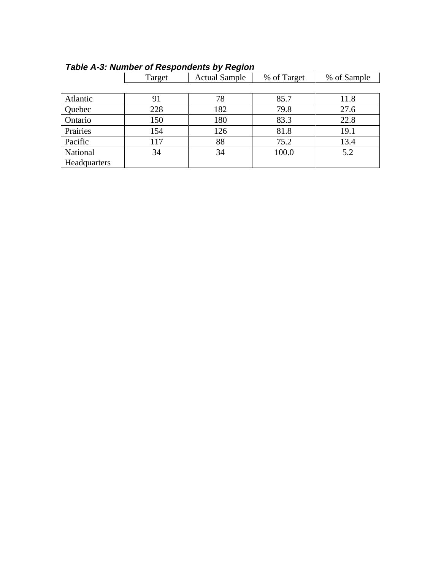|              | Target | <b>Actual Sample</b> | % of Target | % of Sample |
|--------------|--------|----------------------|-------------|-------------|
|              |        |                      |             |             |
| Atlantic     | 91     | 78                   | 85.7        | 11.8        |
| Quebec       | 228    | 182                  | 79.8        | 27.6        |
| Ontario      | 150    | 180                  | 83.3        | 22.8        |
| Prairies     | 154    | 126                  | 81.8        | 19.1        |
| Pacific      | 117    | 88                   | 75.2        | 13.4        |
| National     | 34     | 34                   | 100.0       | 5.2         |
| Headquarters |        |                      |             |             |

### **Table A-3: Number of Respondents by Region**